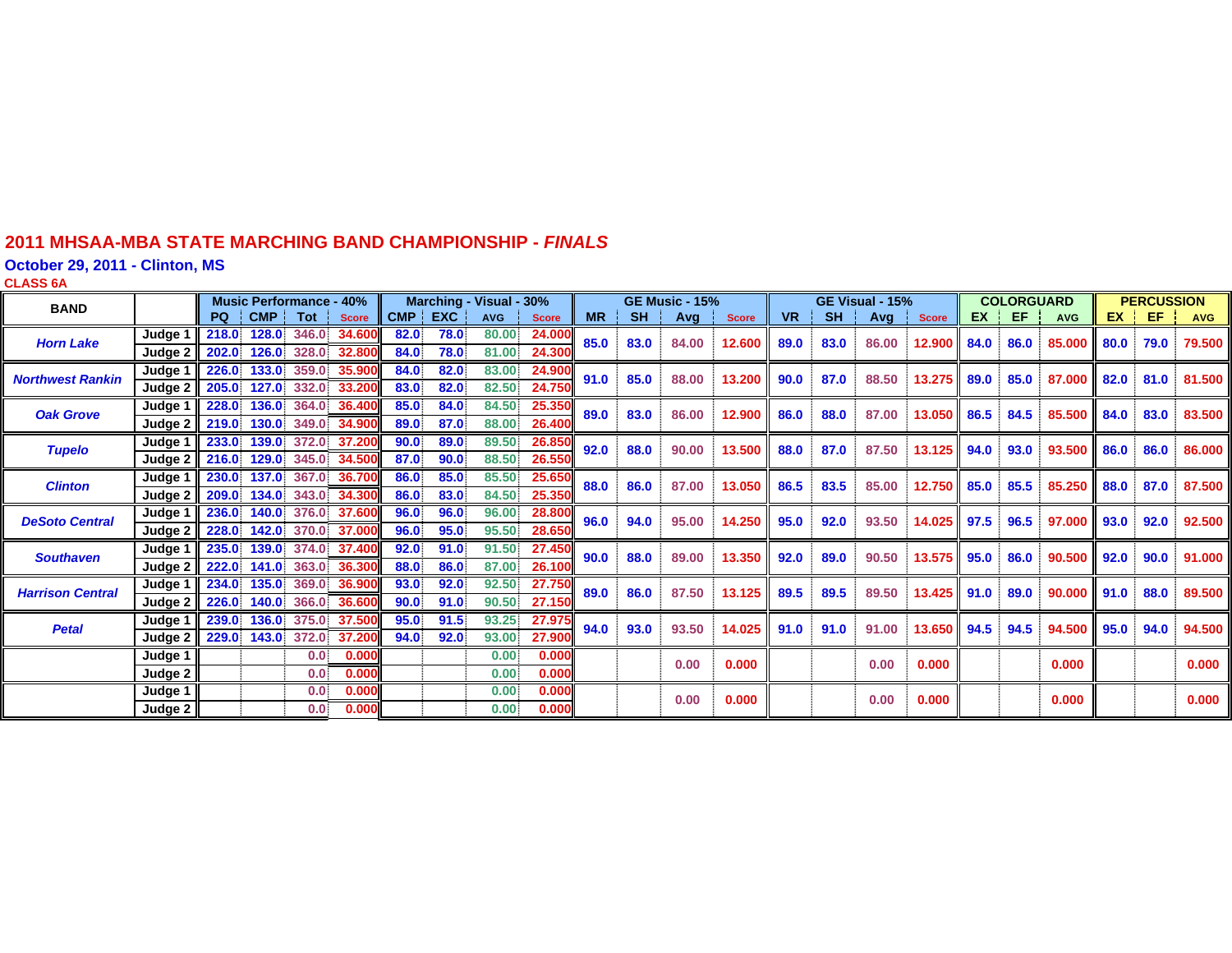### **2011 MHSAA-MBA STATE MARCHING BAND CHAMPIONSHIP -** *FINAL S*

**October 29, 2011 - Clinton, MS**

| ٠ | ٠ |  |
|---|---|--|

| <b>BAND</b>             |                               | <b>Music Performance - 40%</b> |                      |                         | Marching - Visual - 30%                |                      |                      | <b>GE Music - 15%</b>   |                            |           | GE Visual - 15% |       |              |           | <b>COLORGUARD</b> |       |              | <b>PERCUSSION</b> |      |            |      |      |            |
|-------------------------|-------------------------------|--------------------------------|----------------------|-------------------------|----------------------------------------|----------------------|----------------------|-------------------------|----------------------------|-----------|-----------------|-------|--------------|-----------|-------------------|-------|--------------|-------------------|------|------------|------|------|------------|
|                         |                               | PQ I                           | CMP I                | Tot                     | <b>Score</b>                           | CMP EXC              |                      | <b>AVG</b>              | <b>Score</b>               | <b>MR</b> | <b>SH</b>       | Avg   | <b>Score</b> | <b>VR</b> | <b>SH</b>         | Avg   | <b>Score</b> | <b>EX</b>         | EF.  | <b>AVG</b> | EX.  | EF   | <b>AVG</b> |
| <b>Horn Lake</b>        | Judge<br>Judge 2              | 218.0<br>202.0                 | 128.0<br>126.0       | 346.0<br>328.0          | 34,600<br>32,800                       | 82.0<br>84.0         | 78.0<br>78.0         | 80.00<br>81.00          | 24,000<br>24.300           | 85.0      | 83.0            | 84.00 | 12.600       | 89.0      | 83.0              | 86.00 | 12.900       | 84.0              | 86.0 | 85,000     | 80.0 | 79.0 | 79.500     |
| <b>Northwest Rankin</b> | Judge 1<br>Judge 2            | 226.0<br>205.0                 | 133.0<br>127.0       | 359.0<br>332.0          | 35.900<br>33.200                       | 84.0<br>83.0         | 82.0<br>82.0         | 83.00<br>82.50          | 24,900<br>24.750           | 91.0      | 85.0            | 88.00 | 13.200       | 90.0      | 87.0              | 88.50 | 13.275       | 89.0              | 85.0 | 87.000     | 82.0 | 81.0 | 81.500     |
| <b>Oak Grove</b>        | Judge 1                       | 228.0                          | 136.0                |                         | 364.0 36.400                           | 85.0                 | 84.0                 | 84.50                   | 25.350                     | 89.0      | 83.0            | 86.00 | 12.900       | 86.0      | 88.0              | 87.00 | 13.050       | 86.5              | 84.5 | 85.500     | 84.0 | 83.0 | 83.500     |
| <b>Tupelo</b>           | Judge 2<br>Judge <sup>1</sup> | 219.0<br>233.0                 | 130.0<br>139.0       |                         | 349.0 34.900<br>372.0 37.200           | 89.0<br>90.0         | 87.0<br>89.0         | 88.00<br>89.50          | 26.400<br>26.850           | 92.0      | 88.0            | 90.00 | 13.500       | 88.0      | 87.0              | 87.50 | 13.125       | 94.0              | 93.0 | 93.500     | 86.0 | 86.0 | 86.000     |
| <b>Clinton</b>          | Judge 2<br>Judge 1            | 216.0<br>230.0<br>209.0        | 137.0<br>134.0       | 367.0<br>343.0          | 129.0 345.0 34.500<br>36.700<br>34.300 | 87.0<br>86.0<br>86.0 | 90.0<br>85.0<br>83.0 | 88.50<br>85.50<br>84.50 | 26.550<br>25.650<br>25.350 | 88.0      | 86.0            | 87.00 | 13.050       | 86.5      | 83.5              | 85.00 | 12.750       | 85.0              | 85.5 | 85.250     | 88.0 | 87.0 | 87.500     |
| <b>DeSoto Central</b>   | Judge 2<br>Judge 1<br>Judge 2 | 236.0<br>228.0                 | 140.0<br>142.0       | 376.0                   | 37.600<br>370.0 37.000                 | 96.0<br>96.0         | 96.0<br>95.0         | 96.00<br>95.50          | 28.800<br>28.650           | 96.0      | 94.0            | 95.00 | 14.250       | 95.0      | 92.0              | 93.50 | 14.025       | 97.5              | 96.5 | 97.000     | 93.0 | 92.0 | 92.500     |
| <b>Southaven</b>        | Judge 1<br>Judge 2            | 235.0<br>222.0                 | 139.0<br>141.0       | 374.0<br>363.0          | 37,400<br>36.300                       | 92.0<br>88.0         | 91.0<br>86.0         | 91.50<br>87.00          | 27.450<br>26.100           | 90.0      | 88.0            | 89.00 | 13.350       | 92.0      | 89.0              | 90.50 | 13.575       | 95.0              | 86.0 | 90.500     | 92.0 | 90.0 | 91.000     |
| <b>Harrison Central</b> | Judge 1<br>Judge 2            | 234.0<br>226.0                 | 135.0<br>140.0       | 369.0<br>366.0          | 36,900<br>36,60                        | 93.0<br>90.0         | 92.0<br>91.0         | 92.50<br>90.50          | 27.750<br>27.150           | 89.0      | 86.0            | 87.50 | 13.125       | 89.5      | 89.5              | 89.50 | 13.425       | 91.0              | 89.0 | 90.000     | 91.0 | 88.0 | 89.500     |
| <b>Petal</b>            | Judge 1<br>Judge 2            | 239.0                          | 136.0<br>229.0 143.0 | 375.0<br>372.0          | 37.50<br>37.200                        | 95.0<br>94.0         | 91.5<br>92.0         | 93.25<br>93.00          | 27.975<br>27.900           | 94.0      | 93.0            | 93.50 | 14.025       | 91.0      | 91.0              | 91.00 | 13.650       | 94.5              | 94.5 | 94.500     | 95.0 | 94.0 | 94.500     |
|                         | Judge 1<br>Judge 2            |                                |                      | 0.0 <sup>1</sup><br>0.0 | 0.000<br>0.000                         |                      |                      | 0.00<br>0.00            | 0.000<br>0.000             |           |                 | 0.00  | 0.000        |           |                   | 0.00  | 0.000        |                   |      | 0.000      |      |      | 0.000      |
|                         | Judge 1<br>Judge 2            |                                |                      | 0.0 <sub>1</sub><br>0.0 | 0.000<br>0.000                         |                      |                      | 0.00<br>0.00.           | 0.000<br>0.000             |           |                 | 0.00  | 0.000        |           |                   | 0.00  | 0.000        |                   |      | 0.000      |      |      | 0.000      |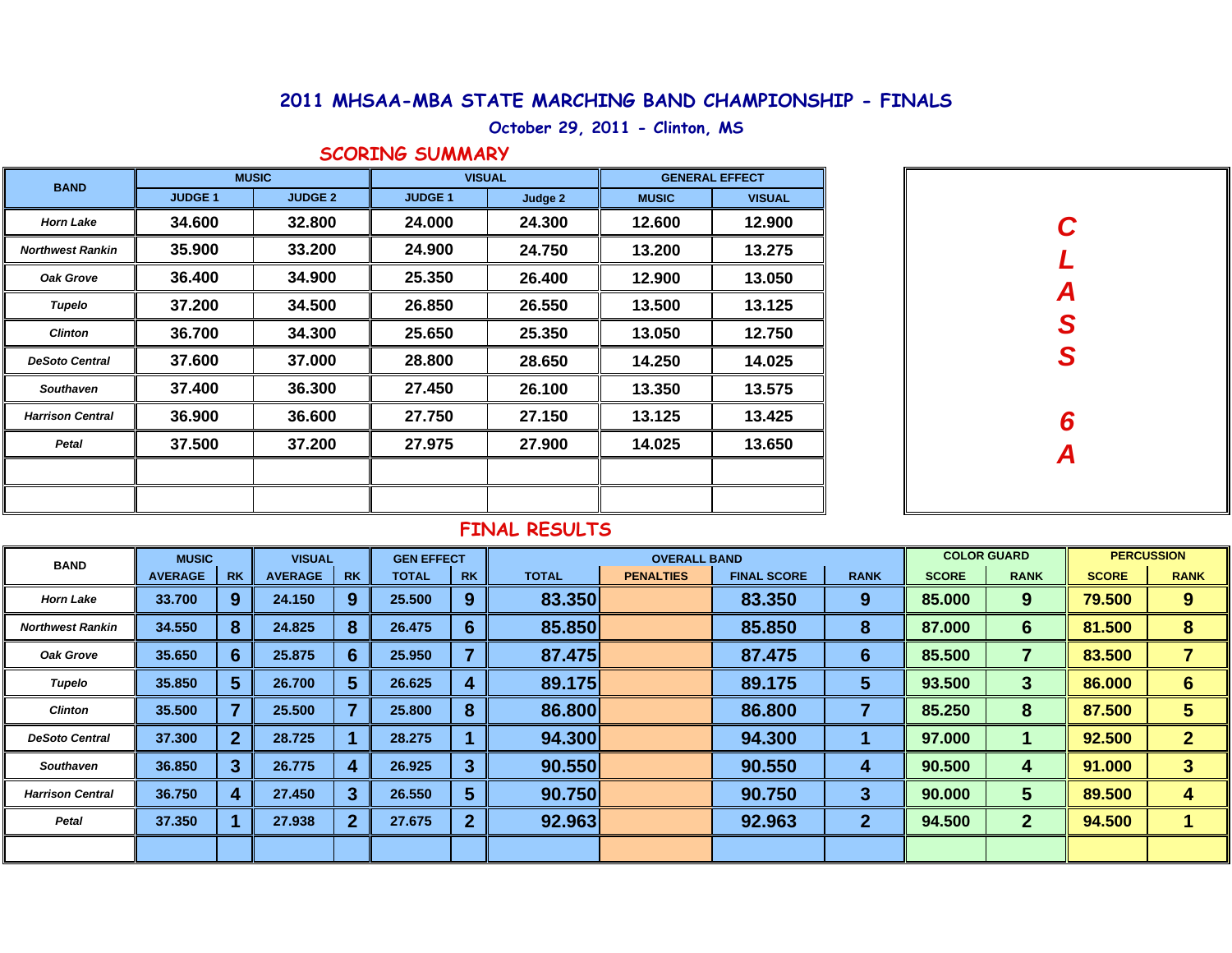## **2011 MHSAA-MBA STATE MARCHING BAND CHAMPIONSHIP - FINALS**

# **October 29, 2011 - Clinton, MS**

#### **SCORING SUMMARY**

| <b>BAND</b>             |               | <b>MUSIC</b>   | <b>VISUAL</b>  |         | <b>GENERAL EFFECT</b> |               |  |  |
|-------------------------|---------------|----------------|----------------|---------|-----------------------|---------------|--|--|
|                         | <b>JUDGE1</b> | <b>JUDGE 2</b> | <b>JUDGE 1</b> | Judge 2 | <b>MUSIC</b>          | <b>VISUAL</b> |  |  |
| <b>Horn Lake</b>        | 34.600        | 32.800         | 24.000         | 24.300  | 12.600                | 12.900        |  |  |
| <b>Northwest Rankin</b> | 35.900        | 33.200         | 24.900         | 24.750  | 13.200                | 13.275        |  |  |
| <b>Oak Grove</b>        | 36.400        | 34.900         | 25.350         | 26.400  | 12.900                | 13.050        |  |  |
| Tupelo                  | 37.200        | 34.500         | 26.850         | 26.550  | 13.500                | 13.125        |  |  |
| <b>Clinton</b>          | 36.700        | 34.300         | 25.650         | 25.350  | 13.050                | 12.750        |  |  |
| <b>DeSoto Central</b>   | 37.600        | 37.000         | 28.800         | 28.650  | 14.250                | 14.025        |  |  |
| <b>Southaven</b>        | 37.400        | 36.300         | 27.450         | 26.100  | 13.350                | 13.575        |  |  |
| <b>Harrison Central</b> | 36.900        | 36.600         | 27.750         | 27.150  | 13.125                | 13.425        |  |  |
| Petal                   | 37.500        | 37.200         | 27.975         | 27.900  | 14.025                | 13.650        |  |  |
|                         |               |                |                |         |                       |               |  |  |
|                         |               |                |                |         |                       |               |  |  |

| C<br>L        |
|---------------|
|               |
| A<br>S<br>S   |
|               |
|               |
|               |
| $\frac{6}{4}$ |
|               |
|               |
|               |
|               |

## **FINAL RESULTS**

| <b>BAND</b>             | <b>MUSIC</b>   |                | <b>VISUAL</b>  |           | <b>GEN EFFECT</b> |                | <b>OVERALL BAND</b> |                  |                    |              | <b>COLOR GUARD</b> |                 | <b>PERCUSSION</b> |                 |
|-------------------------|----------------|----------------|----------------|-----------|-------------------|----------------|---------------------|------------------|--------------------|--------------|--------------------|-----------------|-------------------|-----------------|
|                         | <b>AVERAGE</b> | <b>RK</b>      | <b>AVERAGE</b> | <b>RK</b> | <b>TOTAL</b>      | <b>RK</b>      | <b>TOTAL</b>        | <b>PENALTIES</b> | <b>FINAL SCORE</b> | <b>RANK</b>  | <b>SCORE</b>       | <b>RANK</b>     | <b>SCORE</b>      | <b>RANK</b>     |
| <b>Horn Lake</b>        | 33.700         | 9              | 24.150         | 9         | 25.500            | 9              | 83.350              |                  | 83.350             | 9            | 85.000             | 9               | 79.500            | 9               |
| <b>Northwest Rankin</b> | 34.550         | 8              | 24.825         | 8         | 26.475            | 6              | 85.850              |                  | 85.850             | 8            | 87.000             | $6\phantom{1}6$ | 81.500            | 8               |
| Oak Grove               | 35.650         | 6              | 25.875         | 6.        | 25.950            | ь              | 87.475              |                  | 87.475             | 6            | 85.500             | 7               | 83.500            | 7               |
| Tupelo                  | 35.850         | 5              | 26.700         | 5         | 26.625            | 4              | 89.175              |                  | 89.175             | 5            | 93.500             | 3               | 86.000            | $6\phantom{1}6$ |
| <b>Clinton</b>          | 35.500         |                | 25.500         |           | 25.800            | 8              | 86.800              |                  | 86.800             |              | 85.250             | 8               | 87.500            | 5               |
| <b>DeSoto Central</b>   | 37.300         | 2 <sup>1</sup> | 28.725         |           | 28.275            |                | 94.300              |                  | 94.300             |              | 97.000             |                 | 92.500            | $\overline{2}$  |
| <b>Southaven</b>        | 36.850         | 3              | 26.775         |           | 26.925            | $\overline{3}$ | 90.550              |                  | 90.550             | 4            | 90.500             | 4               | 91.000            | 3               |
| <b>Harrison Central</b> | 36.750         | 4              | 27,450         |           | 26.550            | 5              | 90.750              |                  | 90.750             | 3            | 90.000             | 5               | 89.500            | 4               |
| Petal                   | 37,350         |                | 27.938         |           | 27.675            | $\overline{2}$ | 92.963              |                  | 92.963             | $\mathbf{2}$ | 94.500             | $\overline{2}$  | 94.500            | 1               |
|                         |                |                |                |           |                   |                |                     |                  |                    |              |                    |                 |                   |                 |